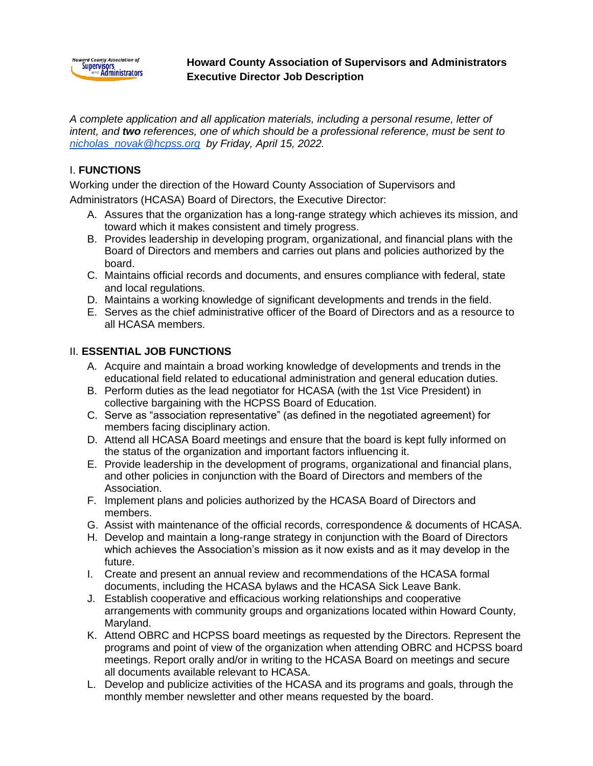

### **Howard County Association of Supervisors and Administrators Executive Director Job Description**

*A complete application and all application materials, including a personal resume, letter of intent, and two references, one of which should be a professional reference, must be sent to [nicholas\\_novak@hcpss.org](mailto:nicolas_novak@hcpss.org) by Friday, April 15, 2022.*

## I. **FUNCTIONS**

Working under the direction of the Howard County Association of Supervisors and

Administrators (HCASA) Board of Directors, the Executive Director:

- A. Assures that the organization has a long-range strategy which achieves its mission, and toward which it makes consistent and timely progress.
- B. Provides leadership in developing program, organizational, and financial plans with the Board of Directors and members and carries out plans and policies authorized by the board.
- C. Maintains official records and documents, and ensures compliance with federal, state and local regulations.
- D. Maintains a working knowledge of significant developments and trends in the field.
- E. Serves as the chief administrative officer of the Board of Directors and as a resource to all HCASA members.

## II. **ESSENTIAL JOB FUNCTIONS**

- A. Acquire and maintain a broad working knowledge of developments and trends in the educational field related to educational administration and general education duties.
- B. Perform duties as the lead negotiator for HCASA (with the 1st Vice President) in collective bargaining with the HCPSS Board of Education.
- C. Serve as "association representative" (as defined in the negotiated agreement) for members facing disciplinary action.
- D. Attend all HCASA Board meetings and ensure that the board is kept fully informed on the status of the organization and important factors influencing it.
- E. Provide leadership in the development of programs, organizational and financial plans, and other policies in conjunction with the Board of Directors and members of the Association.
- F. Implement plans and policies authorized by the HCASA Board of Directors and members.
- G. Assist with maintenance of the official records, correspondence & documents of HCASA.
- H. Develop and maintain a long-range strategy in conjunction with the Board of Directors which achieves the Association's mission as it now exists and as it may develop in the future.
- I. Create and present an annual review and recommendations of the HCASA formal documents, including the HCASA bylaws and the HCASA Sick Leave Bank.
- J. Establish cooperative and efficacious working relationships and cooperative arrangements with community groups and organizations located within Howard County, Maryland.
- K. Attend OBRC and HCPSS board meetings as requested by the Directors. Represent the programs and point of view of the organization when attending OBRC and HCPSS board meetings. Report orally and/or in writing to the HCASA Board on meetings and secure all documents available relevant to HCASA.
- L. Develop and publicize activities of the HCASA and its programs and goals, through the monthly member newsletter and other means requested by the board.